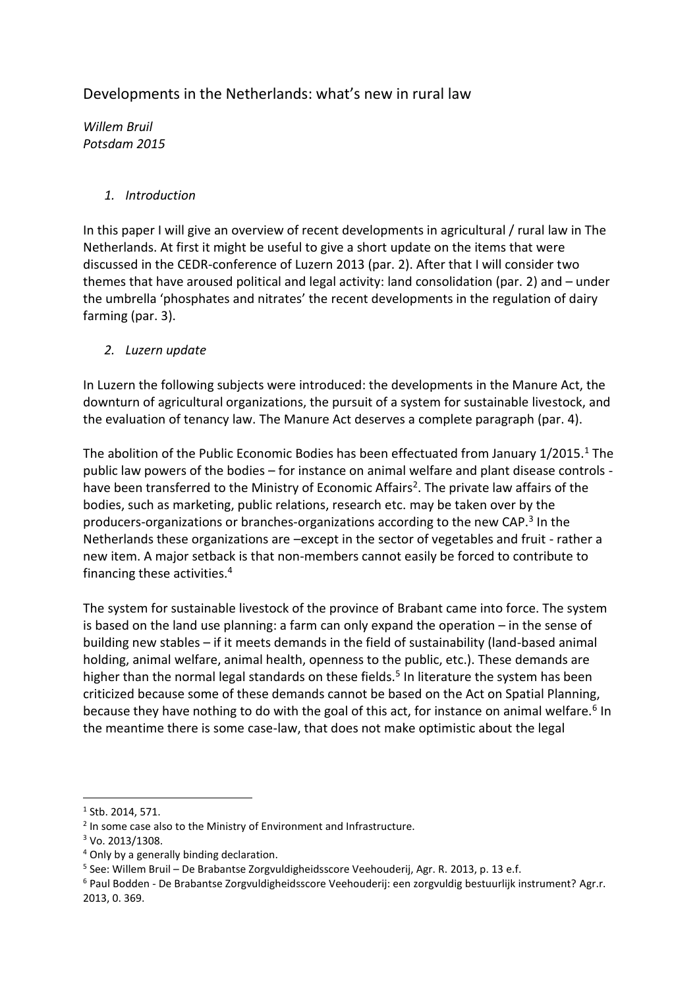## Developments in the Netherlands: what's new in rural law

*Willem Bruil Potsdam 2015* 

## *1. Introduction*

In this paper I will give an overview of recent developments in agricultural / rural law in The Netherlands. At first it might be useful to give a short update on the items that were discussed in the CEDR-conference of Luzern 2013 (par. 2). After that I will consider two themes that have aroused political and legal activity: land consolidation (par. 2) and – under the umbrella 'phosphates and nitrates' the recent developments in the regulation of dairy farming (par. 3).

*2. Luzern update*

In Luzern the following subjects were introduced: the developments in the Manure Act, the downturn of agricultural organizations, the pursuit of a system for sustainable livestock, and the evaluation of tenancy law. The Manure Act deserves a complete paragraph (par. 4).

The abolition of the Public Economic Bodies has been effectuated from January 1/2015.<sup>1</sup> The public law powers of the bodies – for instance on animal welfare and plant disease controls have been transferred to the Ministry of Economic Affairs<sup>2</sup>. The private law affairs of the bodies, such as marketing, public relations, research etc. may be taken over by the producers-organizations or branches-organizations according to the new CAP.<sup>3</sup> In the Netherlands these organizations are –except in the sector of vegetables and fruit - rather a new item. A major setback is that non-members cannot easily be forced to contribute to financing these activities.<sup>4</sup>

The system for sustainable livestock of the province of Brabant came into force. The system is based on the land use planning: a farm can only expand the operation – in the sense of building new stables – if it meets demands in the field of sustainability (land-based animal holding, animal welfare, animal health, openness to the public, etc.). These demands are higher than the normal legal standards on these fields.<sup>5</sup> In literature the system has been criticized because some of these demands cannot be based on the Act on Spatial Planning, because they have nothing to do with the goal of this act, for instance on animal welfare.<sup>6</sup> In the meantime there is some case-law, that does not make optimistic about the legal

1

 $<sup>1</sup>$  Stb. 2014, 571.</sup>

<sup>&</sup>lt;sup>2</sup> In some case also to the Ministry of Environment and Infrastructure.

<sup>3</sup> Vo. 2013/1308.

<sup>4</sup> Only by a generally binding declaration.

<sup>&</sup>lt;sup>5</sup> See: Willem Bruil – De Brabantse Zorgvuldigheidsscore Veehouderij, Agr. R. 2013, p. 13 e.f.

<sup>6</sup> Paul Bodden - De Brabantse Zorgvuldigheidsscore Veehouderij: een zorgvuldig bestuurlijk instrument? Agr.r. 2013, 0. 369.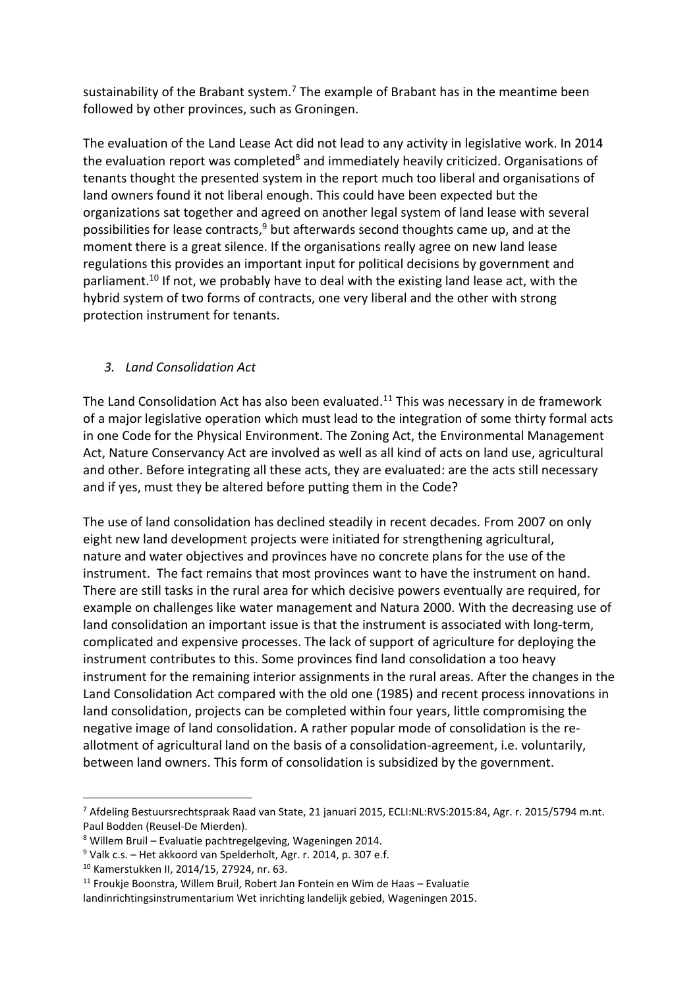sustainability of the Brabant system.<sup>7</sup> The example of Brabant has in the meantime been followed by other provinces, such as Groningen.

The evaluation of the Land Lease Act did not lead to any activity in legislative work. In 2014 the evaluation report was completed<sup>8</sup> and immediately heavily criticized. Organisations of tenants thought the presented system in the report much too liberal and organisations of land owners found it not liberal enough. This could have been expected but the organizations sat together and agreed on another legal system of land lease with several possibilities for lease contracts,<sup>9</sup> but afterwards second thoughts came up, and at the moment there is a great silence. If the organisations really agree on new land lease regulations this provides an important input for political decisions by government and parliament.<sup>10</sup> If not, we probably have to deal with the existing land lease act, with the hybrid system of two forms of contracts, one very liberal and the other with strong protection instrument for tenants.

## *3. Land Consolidation Act*

The Land Consolidation Act has also been evaluated.<sup>11</sup> This was necessary in de framework of a major legislative operation which must lead to the integration of some thirty formal acts in one Code for the Physical Environment. The Zoning Act, the Environmental Management Act, Nature Conservancy Act are involved as well as all kind of acts on land use, agricultural and other. Before integrating all these acts, they are evaluated: are the acts still necessary and if yes, must they be altered before putting them in the Code?

The use of land consolidation has declined steadily in recent decades. From 2007 on only eight new land development projects were initiated for strengthening agricultural, nature and water objectives and provinces have no concrete plans for the use of the instrument. The fact remains that most provinces want to have the instrument on hand. There are still tasks in the rural area for which decisive powers eventually are required, for example on challenges like water management and Natura 2000. With the decreasing use of land consolidation an important issue is that the instrument is associated with long-term, complicated and expensive processes. The lack of support of agriculture for deploying the instrument contributes to this. Some provinces find land consolidation a too heavy instrument for the remaining interior assignments in the rural areas. After the changes in the Land Consolidation Act compared with the old one (1985) and recent process innovations in land consolidation, projects can be completed within four years, little compromising the negative image of land consolidation. A rather popular mode of consolidation is the reallotment of agricultural land on the basis of a consolidation-agreement, i.e. voluntarily, between land owners. This form of consolidation is subsidized by the government.

1

<sup>7</sup> Afdeling Bestuursrechtspraak Raad van State, 21 januari 2015, ECLI:NL:RVS:2015:84, Agr. r. 2015/5794 m.nt. Paul Bodden (Reusel-De Mierden).

<sup>8</sup> Willem Bruil – Evaluatie pachtregelgeving, Wageningen 2014.

 $9$  Valk c.s. – Het akkoord van Spelderholt, Agr. r. 2014, p. 307 e.f.

<sup>10</sup> Kamerstukken II, 2014/15, 27924, nr. 63.

 $11$  Froukje Boonstra, Willem Bruil, Robert Jan Fontein en Wim de Haas – Evaluatie

landinrichtingsinstrumentarium Wet inrichting landelijk gebied, Wageningen 2015.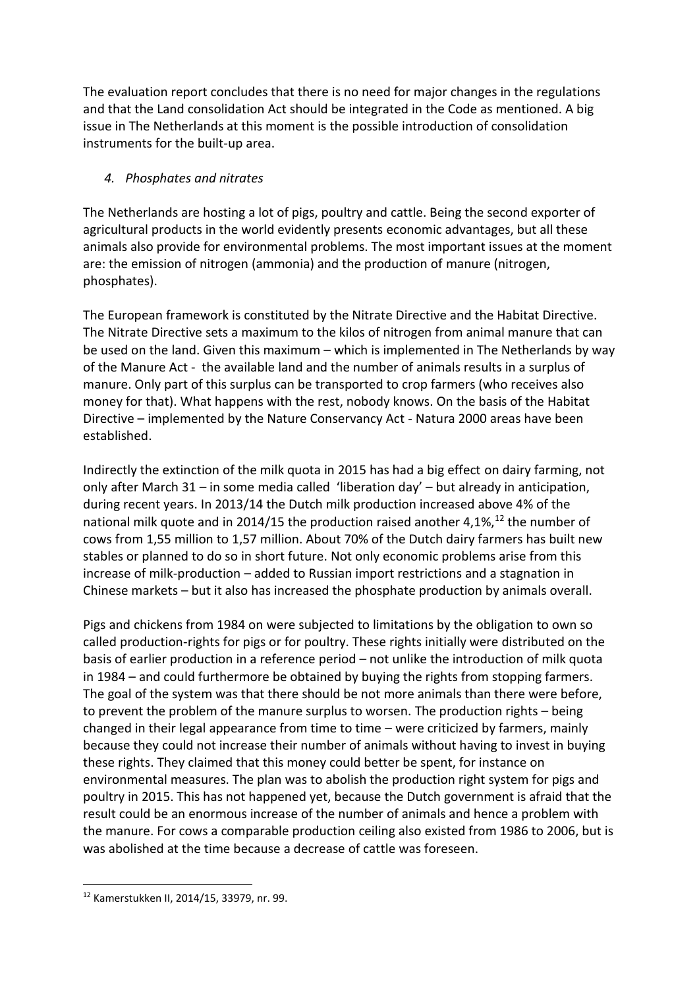The evaluation report concludes that there is no need for major changes in the regulations and that the Land consolidation Act should be integrated in the Code as mentioned. A big issue in The Netherlands at this moment is the possible introduction of consolidation instruments for the built-up area.

## *4. Phosphates and nitrates*

The Netherlands are hosting a lot of pigs, poultry and cattle. Being the second exporter of agricultural products in the world evidently presents economic advantages, but all these animals also provide for environmental problems. The most important issues at the moment are: the emission of nitrogen (ammonia) and the production of manure (nitrogen, phosphates).

The European framework is constituted by the Nitrate Directive and the Habitat Directive. The Nitrate Directive sets a maximum to the kilos of nitrogen from animal manure that can be used on the land. Given this maximum – which is implemented in The Netherlands by way of the Manure Act - the available land and the number of animals results in a surplus of manure. Only part of this surplus can be transported to crop farmers (who receives also money for that). What happens with the rest, nobody knows. On the basis of the Habitat Directive – implemented by the Nature Conservancy Act - Natura 2000 areas have been established.

Indirectly the extinction of the milk quota in 2015 has had a big effect on dairy farming, not only after March 31 – in some media called 'liberation day' – but already in anticipation, during recent years. In 2013/14 the Dutch milk production increased above 4% of the national milk quote and in 2014/15 the production raised another 4,1%, $^{12}$  the number of cows from 1,55 million to 1,57 million. About 70% of the Dutch dairy farmers has built new stables or planned to do so in short future. Not only economic problems arise from this increase of milk-production – added to Russian import restrictions and a stagnation in Chinese markets – but it also has increased the phosphate production by animals overall.

Pigs and chickens from 1984 on were subjected to limitations by the obligation to own so called production-rights for pigs or for poultry. These rights initially were distributed on the basis of earlier production in a reference period – not unlike the introduction of milk quota in 1984 – and could furthermore be obtained by buying the rights from stopping farmers. The goal of the system was that there should be not more animals than there were before, to prevent the problem of the manure surplus to worsen. The production rights – being changed in their legal appearance from time to time – were criticized by farmers, mainly because they could not increase their number of animals without having to invest in buying these rights. They claimed that this money could better be spent, for instance on environmental measures. The plan was to abolish the production right system for pigs and poultry in 2015. This has not happened yet, because the Dutch government is afraid that the result could be an enormous increase of the number of animals and hence a problem with the manure. For cows a comparable production ceiling also existed from 1986 to 2006, but is was abolished at the time because a decrease of cattle was foreseen.

**.** 

<sup>12</sup> Kamerstukken II, 2014/15, 33979, nr. 99.